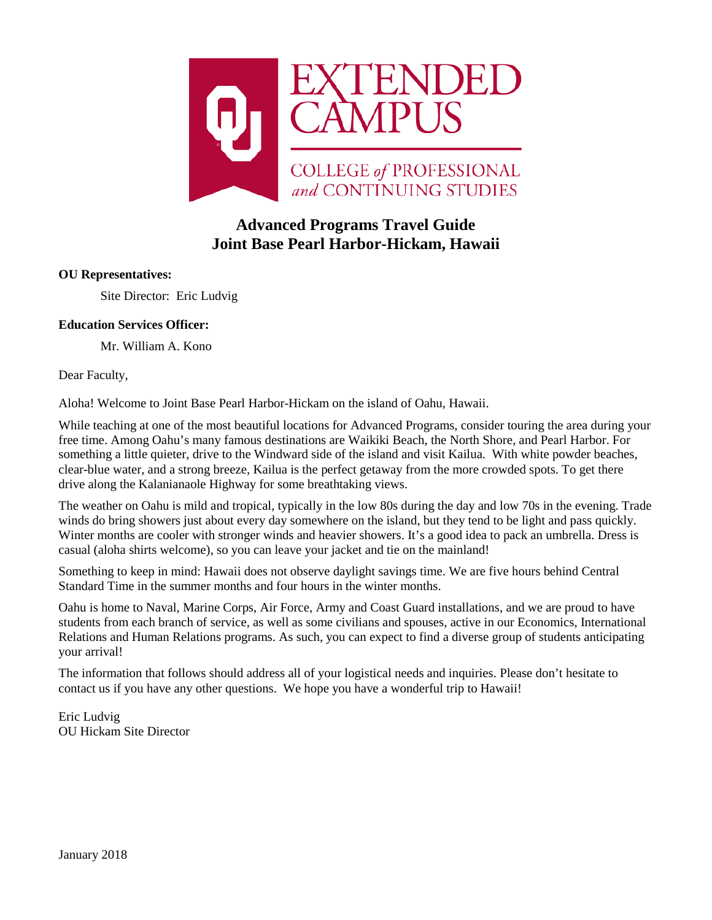

# **Advanced Programs Travel Guide Joint Base Pearl Harbor-Hickam, Hawaii**

## **OU Representatives:**

Site Director: Eric Ludvig

## **Education Services Officer:**

Mr. William A. Kono

Dear Faculty,

Aloha! Welcome to Joint Base Pearl Harbor-Hickam on the island of Oahu, Hawaii.

While teaching at one of the most beautiful locations for Advanced Programs, consider touring the area during your free time. Among Oahu's many famous destinations are Waikiki Beach, the North Shore, and Pearl Harbor. For something a little quieter, drive to the Windward side of the island and visit Kailua. With white powder beaches, clear-blue water, and a strong breeze, Kailua is the perfect getaway from the more crowded spots. To get there drive along the Kalanianaole Highway for some breathtaking views.

The weather on Oahu is mild and tropical, typically in the low 80s during the day and low 70s in the evening. Trade winds do bring showers just about every day somewhere on the island, but they tend to be light and pass quickly. Winter months are cooler with stronger winds and heavier showers. It's a good idea to pack an umbrella. Dress is casual (aloha shirts welcome), so you can leave your jacket and tie on the mainland!

Something to keep in mind: Hawaii does not observe daylight savings time. We are five hours behind Central Standard Time in the summer months and four hours in the winter months.

Oahu is home to Naval, Marine Corps, Air Force, Army and Coast Guard installations, and we are proud to have students from each branch of service, as well as some civilians and spouses, active in our Economics, International Relations and Human Relations programs. As such, you can expect to find a diverse group of students anticipating your arrival!

The information that follows should address all of your logistical needs and inquiries. Please don't hesitate to contact us if you have any other questions. We hope you have a wonderful trip to Hawaii!

Eric Ludvig OU Hickam Site Director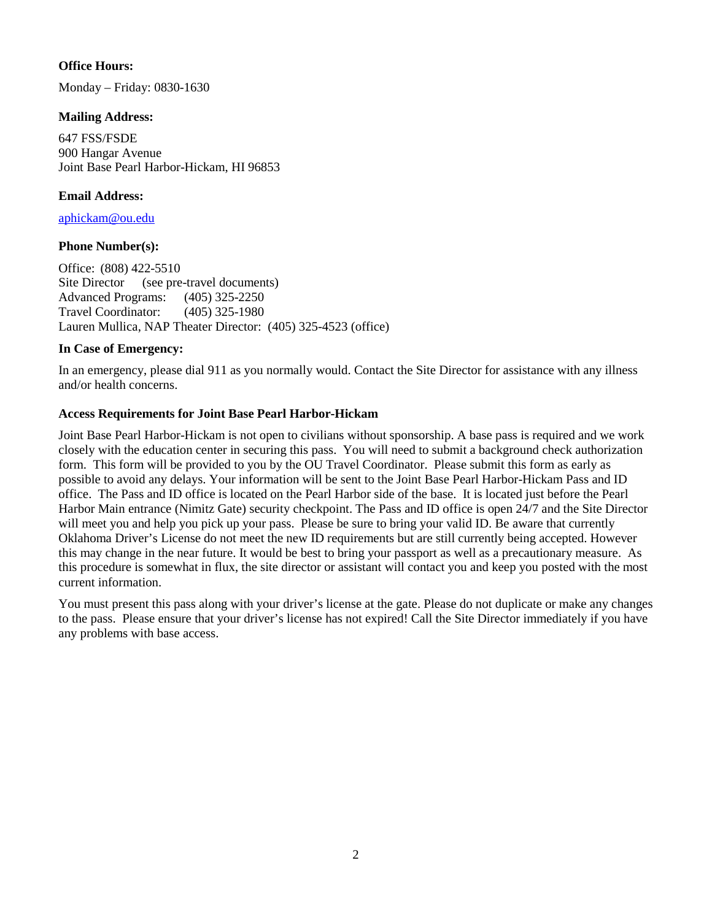## **Office Hours:**

Monday – Friday: 0830-1630

#### **Mailing Address:**

647 FSS/FSDE 900 Hangar Avenue Joint Base Pearl Harbor-Hickam, HI 96853

## **Email Address:**

[aphickam@ou.edu](mailto:apandersen@ou.edu)

### **Phone Number(s):**

Office: (808) 422-5510 Site Director (see pre-travel documents) Advanced Programs: (405) 325-2250 Travel Coordinator: (405) 325-1980 Lauren Mullica, NAP Theater Director: (405) 325-4523 (office)

### **In Case of Emergency:**

In an emergency, please dial 911 as you normally would. Contact the Site Director for assistance with any illness and/or health concerns.

### **Access Requirements for Joint Base Pearl Harbor-Hickam**

Joint Base Pearl Harbor-Hickam is not open to civilians without sponsorship. A base pass is required and we work closely with the education center in securing this pass. You will need to submit a background check authorization form. This form will be provided to you by the OU Travel Coordinator. Please submit this form as early as possible to avoid any delays. Your information will be sent to the Joint Base Pearl Harbor-Hickam Pass and ID office. The Pass and ID office is located on the Pearl Harbor side of the base. It is located just before the Pearl Harbor Main entrance (Nimitz Gate) security checkpoint. The Pass and ID office is open 24/7 and the Site Director will meet you and help you pick up your pass. Please be sure to bring your valid ID. Be aware that currently Oklahoma Driver's License do not meet the new ID requirements but are still currently being accepted. However this may change in the near future. It would be best to bring your passport as well as a precautionary measure. As this procedure is somewhat in flux, the site director or assistant will contact you and keep you posted with the most current information.

You must present this pass along with your driver's license at the gate. Please do not duplicate or make any changes to the pass. Please ensure that your driver's license has not expired! Call the Site Director immediately if you have any problems with base access.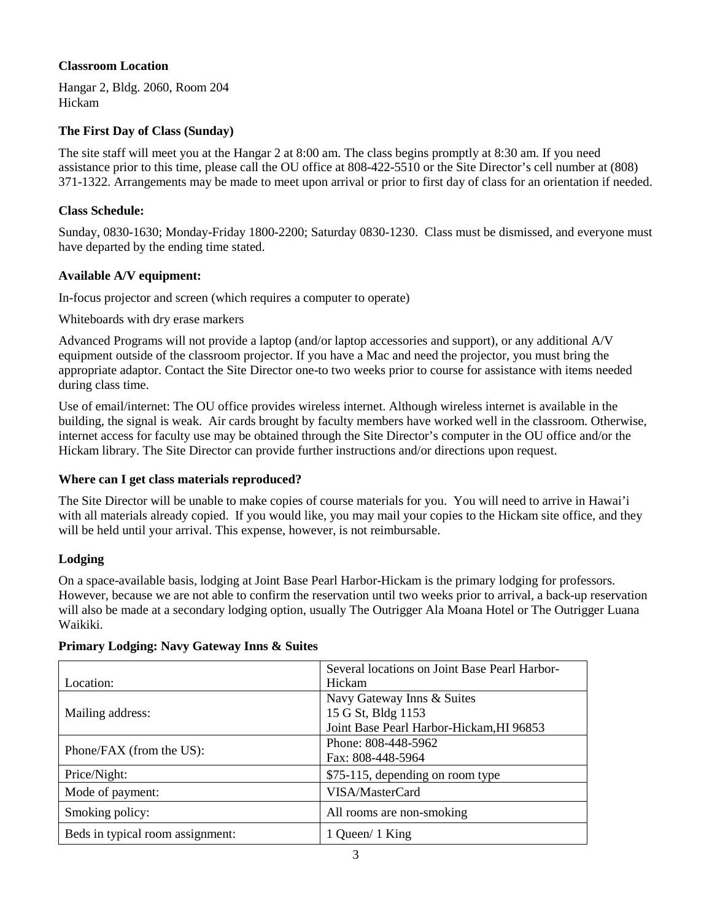## **Classroom Location**

Hangar 2, Bldg. 2060, Room 204 Hickam

# **The First Day of Class (Sunday)**

The site staff will meet you at the Hangar 2 at 8:00 am. The class begins promptly at 8:30 am. If you need assistance prior to this time, please call the OU office at 808-422-5510 or the Site Director's cell number at (808) 371-1322. Arrangements may be made to meet upon arrival or prior to first day of class for an orientation if needed.

## **Class Schedule:**

Sunday, 0830-1630; Monday-Friday 1800-2200; Saturday 0830-1230. Class must be dismissed, and everyone must have departed by the ending time stated.

## **Available A/V equipment:**

In-focus projector and screen (which requires a computer to operate)

Whiteboards with dry erase markers

Advanced Programs will not provide a laptop (and/or laptop accessories and support), or any additional A/V equipment outside of the classroom projector. If you have a Mac and need the projector, you must bring the appropriate adaptor. Contact the Site Director one-to two weeks prior to course for assistance with items needed during class time.

Use of email/internet: The OU office provides wireless internet. Although wireless internet is available in the building, the signal is weak. Air cards brought by faculty members have worked well in the classroom. Otherwise, internet access for faculty use may be obtained through the Site Director's computer in the OU office and/or the Hickam library. The Site Director can provide further instructions and/or directions upon request.

# **Where can I get class materials reproduced?**

The Site Director will be unable to make copies of course materials for you. You will need to arrive in Hawai'i with all materials already copied. If you would like, you may mail your copies to the Hickam site office, and they will be held until your arrival. This expense, however, is not reimbursable.

# **Lodging**

On a space-available basis, lodging at Joint Base Pearl Harbor-Hickam is the primary lodging for professors. However, because we are not able to confirm the reservation until two weeks prior to arrival, a back-up reservation will also be made at a secondary lodging option, usually The Outrigger Ala Moana Hotel or The Outrigger Luana Waikiki.

|                                  | Several locations on Joint Base Pearl Harbor- |
|----------------------------------|-----------------------------------------------|
| Location:                        | Hickam                                        |
|                                  | Navy Gateway Inns & Suites                    |
| Mailing address:                 | 15 G St, Bldg 1153                            |
|                                  | Joint Base Pearl Harbor-Hickam, HI 96853      |
| Phone/FAX (from the US):         | Phone: 808-448-5962                           |
|                                  | Fax: 808-448-5964                             |
| Price/Night:                     | \$75-115, depending on room type              |
| Mode of payment:                 | VISA/MasterCard                               |
| Smoking policy:                  | All rooms are non-smoking                     |
| Beds in typical room assignment: | 1 Queen/ 1 King                               |

### **Primary Lodging: Navy Gateway Inns & Suites**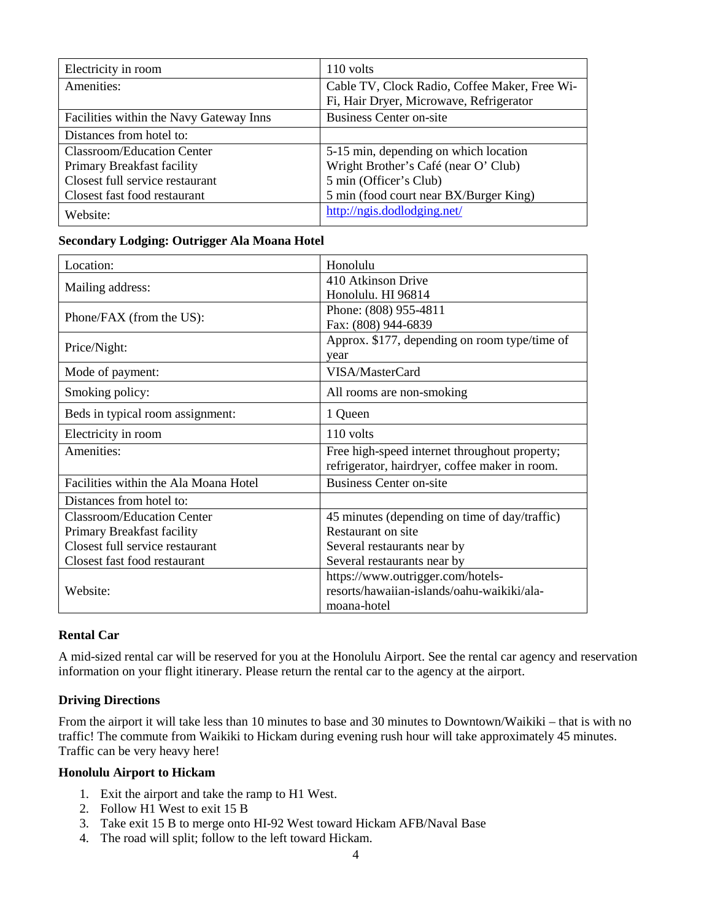| Electricity in room                     | 110 volts                                     |
|-----------------------------------------|-----------------------------------------------|
| Amenities:                              | Cable TV, Clock Radio, Coffee Maker, Free Wi- |
|                                         | Fi, Hair Dryer, Microwave, Refrigerator       |
| Facilities within the Navy Gateway Inns | <b>Business Center on-site</b>                |
| Distances from hotel to:                |                                               |
| Classroom/Education Center              | 5-15 min, depending on which location         |
| Primary Breakfast facility              | Wright Brother's Café (near O' Club)          |
| Closest full service restaurant         | 5 min (Officer's Club)                        |
| Closest fast food restaurant            | 5 min (food court near BX/Burger King)        |
| Website:                                | http://ngis.dodlodging.net/                   |

### **Secondary Lodging: Outrigger Ala Moana Hotel**

| Location:                             | Honolulu                                       |
|---------------------------------------|------------------------------------------------|
| Mailing address:                      | 410 Atkinson Drive                             |
|                                       | Honolulu. HI 96814                             |
| Phone/FAX (from the US):              | Phone: (808) 955-4811                          |
|                                       | Fax: (808) 944-6839                            |
| Price/Night:                          | Approx. \$177, depending on room type/time of  |
|                                       | vear                                           |
| Mode of payment:                      | VISA/MasterCard                                |
| Smoking policy:                       | All rooms are non-smoking                      |
| Beds in typical room assignment:      | 1 Queen                                        |
| Electricity in room                   | 110 volts                                      |
| Amenities:                            | Free high-speed internet throughout property;  |
|                                       | refrigerator, hairdryer, coffee maker in room. |
| Facilities within the Ala Moana Hotel | <b>Business Center on-site</b>                 |
| Distances from hotel to:              |                                                |
| <b>Classroom/Education Center</b>     | 45 minutes (depending on time of day/traffic)  |
| Primary Breakfast facility            | Restaurant on site                             |
| Closest full service restaurant       | Several restaurants near by                    |
| Closest fast food restaurant          | Several restaurants near by                    |
|                                       | https://www.outrigger.com/hotels-              |
| Website:                              | resorts/hawaiian-islands/oahu-waikiki/ala-     |
|                                       | moana-hotel                                    |

### **Rental Car**

A mid-sized rental car will be reserved for you at the Honolulu Airport. See the rental car agency and reservation information on your flight itinerary. Please return the rental car to the agency at the airport.

# **Driving Directions**

From the airport it will take less than 10 minutes to base and 30 minutes to Downtown/Waikiki – that is with no traffic! The commute from Waikiki to Hickam during evening rush hour will take approximately 45 minutes. Traffic can be very heavy here!

## **Honolulu Airport to Hickam**

- 1. Exit the airport and take the ramp to H1 West.
- 2. Follow H1 West to exit 15 B
- 3. Take exit 15 B to merge onto HI-92 West toward Hickam AFB/Naval Base
- 4. The road will split; follow to the left toward Hickam.